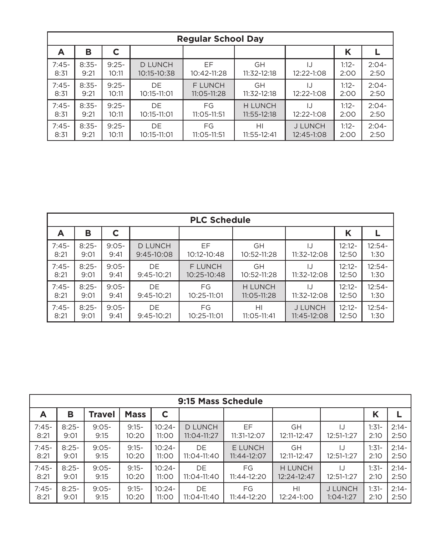| <b>Regular School Day</b> |         |         |                |                 |                |                |         |         |  |  |  |
|---------------------------|---------|---------|----------------|-----------------|----------------|----------------|---------|---------|--|--|--|
| A                         | в       |         |                |                 |                |                | Κ       |         |  |  |  |
| $7:45-$                   | $8:35-$ | $9:25-$ | <b>D LUNCH</b> | EF              | <b>GH</b>      | IJ             | $1:12-$ | $2:04-$ |  |  |  |
| 8:31                      | 9:21    | 10:11   | 10:15-10:38    | 10:42-11:28     | 11:32-12:18    | 12:22-1:08     | 2:00    | 2:50    |  |  |  |
| $7:45-$                   | $8:35-$ | $9:25-$ | DE             | <b>F LUNCH</b>  | <b>GH</b>      | I.             | $1:12-$ | $2:04-$ |  |  |  |
| 8:31                      | 9:21    | 10:11   | 10:15-11:01    | $11:05 - 11:28$ | 11:32-12:18    | 12:22-1:08     | 2:00    | 2:50    |  |  |  |
| $7:45-$                   | $8:35-$ | $9:25-$ | DE.            | FG              | <b>H LUNCH</b> | 12:22-1:08     | $1:12-$ | $2:04-$ |  |  |  |
| 8:31                      | 9:21    | 10:11   | 10:15-11:01    | $11:05 - 11:51$ | 11:55-12:18    |                | 2:00    | 2:50    |  |  |  |
| $7:45-$                   | $8:35-$ | $9:25-$ | DE             | FG              | HI             | <b>J LUNCH</b> | $1:12-$ | $2:04-$ |  |  |  |
| 8:31                      | 9:21    | 10:11   | 10:15-11:01    | 11:05-11:51     | 11:55-12:41    | 12:45-1:08     | 2:00    | 2:50    |  |  |  |

| <b>PLC Schedule</b> |         |          |                |                 |                |                |           |          |  |  |  |
|---------------------|---------|----------|----------------|-----------------|----------------|----------------|-----------|----------|--|--|--|
| A                   | в       | C        |                |                 |                |                | Κ         |          |  |  |  |
| $7:45-$             | $8:25-$ | $9:05 -$ | <b>D LUNCH</b> | EF              | <b>GH</b>      | IJ             | $12:12 -$ | $12:54-$ |  |  |  |
| 8:21                | 9:01    | 9:41     | 9:45-10:08     | 10:12-10:48     | 10:52-11:28    | 11:32-12:08    | 12:50     | 1:30     |  |  |  |
| $7:45-$             | $8:25-$ | $9:05-$  | DE             | <b>F LUNCH</b>  | <b>GH</b>      | IJ             | $12:12 -$ | $12:54-$ |  |  |  |
| 8:21                | 9:01    | 9:41     | $9:45-10:21$   | $10:25 - 10:48$ | 10:52-11:28    | 11:32-12:08    | 12:50     | 1:30     |  |  |  |
| $7:45-$             | $8:25-$ | $9:05-$  | DE.            | FG              | <b>H LUNCH</b> | $\mathbf{L}$   | $12:12 -$ | $12:54-$ |  |  |  |
| 8:21                | 9:01    | 9:41     | $9:45-10:21$   | 10:25-11:01     | 11:05-11:28    | 11:32-12:08    | 12:50     | 1:30     |  |  |  |
| $7:45-$             | $8:25-$ | $9:05-$  | DE.            | FG              | HI             | <b>J LUNCH</b> | $12:12 -$ | $12:54-$ |  |  |  |
| 8:21                | 9:01    | 9:41     | $9:45-10:21$   | 10:25-11:01     | 11:05-11:41    | 11:45-12:08    | 12:50     | 1:30     |  |  |  |

|         | 9:15 Mass Schedule |          |             |          |                 |                |                |                |         |         |  |  |
|---------|--------------------|----------|-------------|----------|-----------------|----------------|----------------|----------------|---------|---------|--|--|
| A       | в                  | Travel   | <b>Mass</b> | C        |                 |                |                |                | К       |         |  |  |
| $7:45-$ | $8:25-$            | $9:05 -$ | $9:15-$     | $10:24-$ | <b>D LUNCH</b>  | EF             | <b>GH</b>      | 12:51-1:27     | $1:31-$ | $2:14-$ |  |  |
| 8:21    | 9:01               | 9:15     | 10:20       | 11:00    | $11:04 - 11:27$ | 11:31-12:07    | 12:11-12:47    |                | 2:10    | 2:50    |  |  |
| $7:45-$ | $8:25-$            | $9:05 -$ | $9:15-$     | $10:24-$ | DE.             | <b>E LUNCH</b> | <b>GH</b>      | 12:51-1:27     | $1:31-$ | $2:14-$ |  |  |
| 8:21    | 9:01               | 9:15     | 10:20       | 11:00    | $11:04 - 11:40$ | $11:44-12:07$  | 12:11-12:47    |                | 2:10    | 2:50    |  |  |
| $7:45-$ | $8:25-$            | $9:05 -$ | $9:15-$     | $10:24-$ | DE.             | FG             | <b>H LUNCH</b> | 12:51-1:27     | $1:31-$ | $2:14-$ |  |  |
| 8:21    | 9:01               | 9:15     | 10:20       | 11:00    | $11:04 - 11:40$ | $11:44-12:20$  | 12:24-12:47    |                | 2:10    | 2:50    |  |  |
| $7:45-$ | $8:25-$            | $9:05 -$ | $9:15-$     | $10:24-$ | DE.             | FG             | HI             | <b>J LUNCH</b> | $1:31-$ | $2:14-$ |  |  |
| 8:21    | 9:01               | 9:15     | 10:20       | 11:00    | 11:04-11:40     | 11:44-12:20    | 12:24-1:00     | $1:04-1:27$    | 2:10    | 2:50    |  |  |